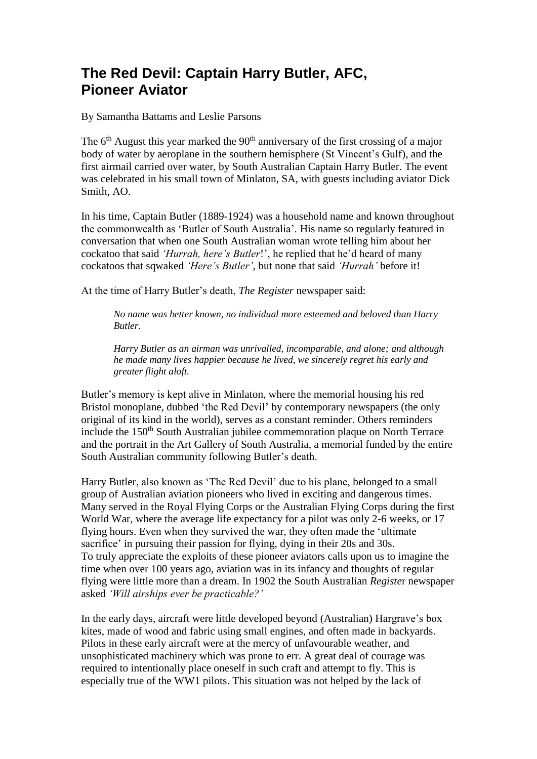## **The Red Devil: Captain Harry Butler, AFC, Pioneer Aviator**

By Samantha Battams and Leslie Parsons

The  $6<sup>th</sup>$  August this year marked the  $90<sup>th</sup>$  anniversary of the first crossing of a major body of water by aeroplane in the southern hemisphere (St Vincent's Gulf), and the first airmail carried over water, by South Australian Captain Harry Butler. The event was celebrated in his small town of Minlaton, SA, with guests including aviator Dick Smith, AO.

In his time, Captain Butler (1889-1924) was a household name and known throughout the commonwealth as 'Butler of South Australia'. His name so regularly featured in conversation that when one South Australian woman wrote telling him about her cockatoo that said *'Hurrah, here's Butler*!', he replied that he'd heard of many cockatoos that sqwaked *'Here's Butler'*, but none that said *'Hurrah'* before it!

At the time of Harry Butler's death, *The Register* newspaper said:

*No name was better known, no individual more esteemed and beloved than Harry Butler.*

*Harry Butler as an airman was unrivalled, incomparable, and alone; and although he made many lives happier because he lived, we sincerely regret his early and greater flight aloft.*

Butler's memory is kept alive in Minlaton, where the memorial housing his red Bristol monoplane, dubbed 'the Red Devil' by contemporary newspapers (the only original of its kind in the world), serves as a constant reminder. Others reminders include the 150<sup>th</sup> South Australian jubilee commemoration plaque on North Terrace and the portrait in the Art Gallery of South Australia, a memorial funded by the entire South Australian community following Butler's death.

Harry Butler, also known as 'The Red Devil' due to his plane, belonged to a small group of Australian aviation pioneers who lived in exciting and dangerous times. Many served in the Royal Flying Corps or the Australian Flying Corps during the first World War, where the average life expectancy for a pilot was only 2-6 weeks, or 17 flying hours. Even when they survived the war, they often made the 'ultimate sacrifice' in pursuing their passion for flying, dying in their 20s and 30s. To truly appreciate the exploits of these pioneer aviators calls upon us to imagine the time when over 100 years ago, aviation was in its infancy and thoughts of regular flying were little more than a dream. In 1902 the South Australian *Registe*r newspaper asked *'Will airships ever be practicable?'* 

In the early days, aircraft were little developed beyond (Australian) Hargrave's box kites, made of wood and fabric using small engines, and often made in backyards. Pilots in these early aircraft were at the mercy of unfavourable weather, and unsophisticated machinery which was prone to err. A great deal of courage was required to intentionally place oneself in such craft and attempt to fly. This is especially true of the WW1 pilots. This situation was not helped by the lack of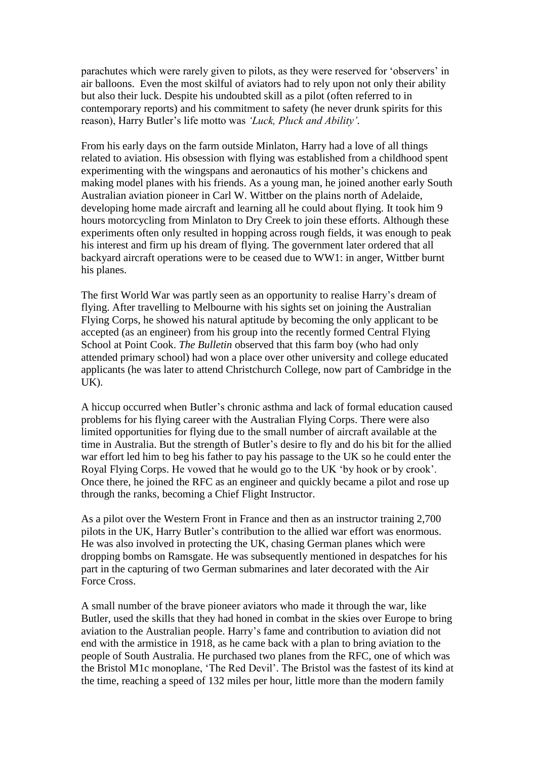parachutes which were rarely given to pilots, as they were reserved for 'observers' in air balloons. Even the most skilful of aviators had to rely upon not only their ability but also their luck. Despite his undoubted skill as a pilot (often referred to in contemporary reports) and his commitment to safety (he never drunk spirits for this reason), Harry Butler's life motto was *'Luck, Pluck and Ability'.* 

From his early days on the farm outside Minlaton, Harry had a love of all things related to aviation. His obsession with flying was established from a childhood spent experimenting with the wingspans and aeronautics of his mother's chickens and making model planes with his friends. As a young man, he joined another early South Australian aviation pioneer in Carl W. Wittber on the plains north of Adelaide, developing home made aircraft and learning all he could about flying. It took him 9 hours motorcycling from Minlaton to Dry Creek to join these efforts. Although these experiments often only resulted in hopping across rough fields, it was enough to peak his interest and firm up his dream of flying. The government later ordered that all backyard aircraft operations were to be ceased due to WW1: in anger, Wittber burnt his planes.

The first World War was partly seen as an opportunity to realise Harry's dream of flying. After travelling to Melbourne with his sights set on joining the Australian Flying Corps, he showed his natural aptitude by becoming the only applicant to be accepted (as an engineer) from his group into the recently formed Central Flying School at Point Cook. *The Bulletin* observed that this farm boy (who had only attended primary school) had won a place over other university and college educated applicants (he was later to attend Christchurch College, now part of Cambridge in the UK).

A hiccup occurred when Butler's chronic asthma and lack of formal education caused problems for his flying career with the Australian Flying Corps. There were also limited opportunities for flying due to the small number of aircraft available at the time in Australia. But the strength of Butler's desire to fly and do his bit for the allied war effort led him to beg his father to pay his passage to the UK so he could enter the Royal Flying Corps. He vowed that he would go to the UK 'by hook or by crook'. Once there, he joined the RFC as an engineer and quickly became a pilot and rose up through the ranks, becoming a Chief Flight Instructor.

As a pilot over the Western Front in France and then as an instructor training 2,700 pilots in the UK, Harry Butler's contribution to the allied war effort was enormous. He was also involved in protecting the UK, chasing German planes which were dropping bombs on Ramsgate. He was subsequently mentioned in despatches for his part in the capturing of two German submarines and later decorated with the Air Force Cross.

A small number of the brave pioneer aviators who made it through the war, like Butler, used the skills that they had honed in combat in the skies over Europe to bring aviation to the Australian people. Harry's fame and contribution to aviation did not end with the armistice in 1918, as he came back with a plan to bring aviation to the people of South Australia. He purchased two planes from the RFC, one of which was the Bristol M1c monoplane, 'The Red Devil'. The Bristol was the fastest of its kind at the time, reaching a speed of 132 miles per hour, little more than the modern family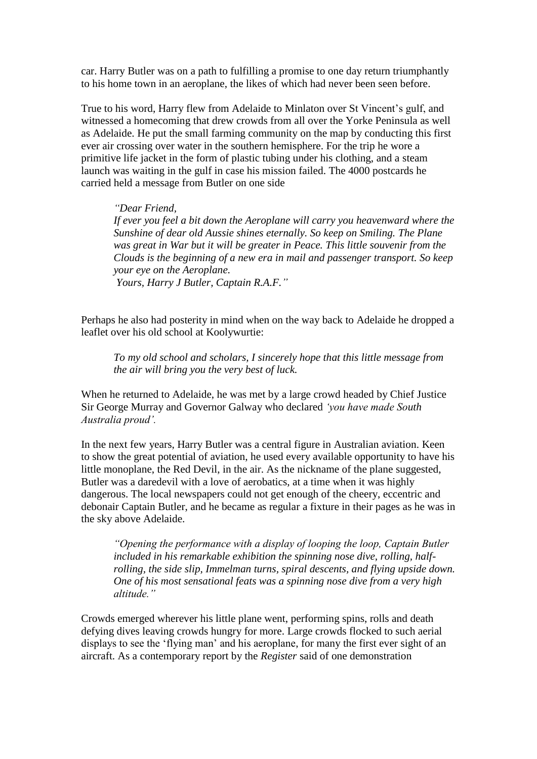car. Harry Butler was on a path to fulfilling a promise to one day return triumphantly to his home town in an aeroplane, the likes of which had never been seen before.

True to his word, Harry flew from Adelaide to Minlaton over St Vincent's gulf, and witnessed a homecoming that drew crowds from all over the Yorke Peninsula as well as Adelaide. He put the small farming community on the map by conducting this first ever air crossing over water in the southern hemisphere. For the trip he wore a primitive life jacket in the form of plastic tubing under his clothing, and a steam launch was waiting in the gulf in case his mission failed. The 4000 postcards he carried held a message from Butler on one side

*"Dear Friend, If ever you feel a bit down the Aeroplane will carry you heavenward where the Sunshine of dear old Aussie shines eternally. So keep on Smiling. The Plane was great in War but it will be greater in Peace. This little souvenir from the Clouds is the beginning of a new era in mail and passenger transport. So keep your eye on the Aeroplane. Yours, Harry J Butler, Captain R.A.F."*

Perhaps he also had posterity in mind when on the way back to Adelaide he dropped a leaflet over his old school at Koolywurtie:

*To my old school and scholars, I sincerely hope that this little message from the air will bring you the very best of luck.*

When he returned to Adelaide, he was met by a large crowd headed by Chief Justice Sir George Murray and Governor Galway who declared *'you have made South Australia proud'.*

In the next few years, Harry Butler was a central figure in Australian aviation. Keen to show the great potential of aviation, he used every available opportunity to have his little monoplane, the Red Devil, in the air. As the nickname of the plane suggested, Butler was a daredevil with a love of aerobatics, at a time when it was highly dangerous. The local newspapers could not get enough of the cheery, eccentric and debonair Captain Butler, and he became as regular a fixture in their pages as he was in the sky above Adelaide.

*"Opening the performance with a display of looping the loop, Captain Butler included in his remarkable exhibition the spinning nose dive, rolling, halfrolling, the side slip, Immelman turns, spiral descents, and flying upside down. One of his most sensational feats was a spinning nose dive from a very high altitude."*

Crowds emerged wherever his little plane went, performing spins, rolls and death defying dives leaving crowds hungry for more. Large crowds flocked to such aerial displays to see the 'flying man' and his aeroplane, for many the first ever sight of an aircraft. As a contemporary report by the *Register* said of one demonstration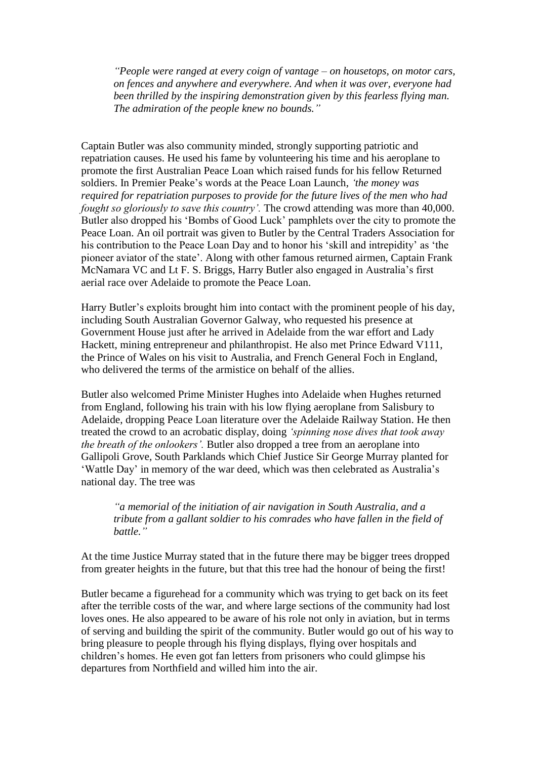*"People were ranged at every coign of vantage – on housetops, on motor cars, on fences and anywhere and everywhere. And when it was over, everyone had been thrilled by the inspiring demonstration given by this fearless flying man. The admiration of the people knew no bounds."*

Captain Butler was also community minded, strongly supporting patriotic and repatriation causes. He used his fame by volunteering his time and his aeroplane to promote the first Australian Peace Loan which raised funds for his fellow Returned soldiers. In Premier Peake's words at the Peace Loan Launch, *'the money was required for repatriation purposes to provide for the future lives of the men who had fought so gloriously to save this country'.* The crowd attending was more than 40,000. Butler also dropped his 'Bombs of Good Luck' pamphlets over the city to promote the Peace Loan. An oil portrait was given to Butler by the Central Traders Association for his contribution to the Peace Loan Day and to honor his 'skill and intrepidity' as 'the pioneer aviator of the state'. Along with other famous returned airmen, Captain Frank McNamara VC and Lt F. S. Briggs, Harry Butler also engaged in Australia's first aerial race over Adelaide to promote the Peace Loan.

Harry Butler's exploits brought him into contact with the prominent people of his day, including South Australian Governor Galway, who requested his presence at Government House just after he arrived in Adelaide from the war effort and Lady Hackett, mining entrepreneur and philanthropist. He also met Prince Edward V111, the Prince of Wales on his visit to Australia, and French General Foch in England, who delivered the terms of the armistice on behalf of the allies.

Butler also welcomed Prime Minister Hughes into Adelaide when Hughes returned from England, following his train with his low flying aeroplane from Salisbury to Adelaide, dropping Peace Loan literature over the Adelaide Railway Station. He then treated the crowd to an acrobatic display, doing *'spinning nose dives that took away the breath of the onlookers'.* Butler also dropped a tree from an aeroplane into Gallipoli Grove, South Parklands which Chief Justice Sir George Murray planted for 'Wattle Day' in memory of the war deed, which was then celebrated as Australia's national day. The tree was

*"a memorial of the initiation of air navigation in South Australia, and a tribute from a gallant soldier to his comrades who have fallen in the field of battle."*

At the time Justice Murray stated that in the future there may be bigger trees dropped from greater heights in the future, but that this tree had the honour of being the first!

Butler became a figurehead for a community which was trying to get back on its feet after the terrible costs of the war, and where large sections of the community had lost loves ones. He also appeared to be aware of his role not only in aviation, but in terms of serving and building the spirit of the community. Butler would go out of his way to bring pleasure to people through his flying displays, flying over hospitals and children's homes. He even got fan letters from prisoners who could glimpse his departures from Northfield and willed him into the air.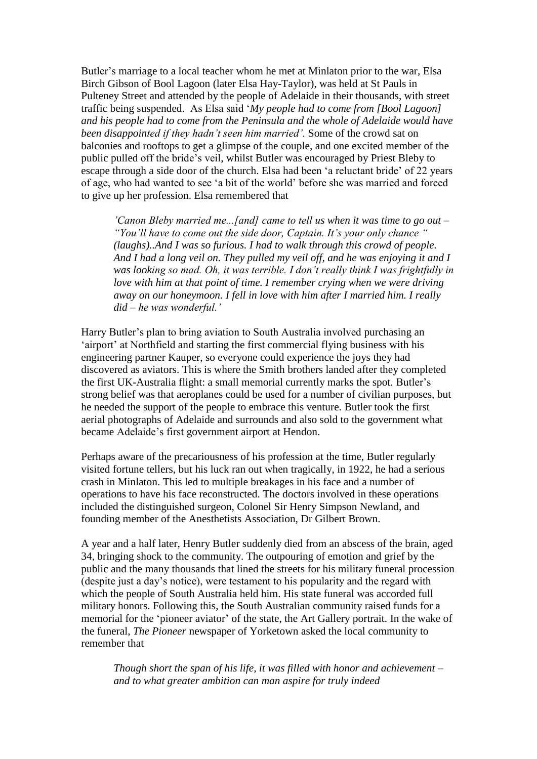Butler's marriage to a local teacher whom he met at Minlaton prior to the war, Elsa Birch Gibson of Bool Lagoon (later Elsa Hay-Taylor), was held at St Pauls in Pulteney Street and attended by the people of Adelaide in their thousands, with street traffic being suspended. As Elsa said '*My people had to come from [Bool Lagoon] and his people had to come from the Peninsula and the whole of Adelaide would have been disappointed if they hadn't seen him married'.* Some of the crowd sat on balconies and rooftops to get a glimpse of the couple, and one excited member of the public pulled off the bride's veil, whilst Butler was encouraged by Priest Bleby to escape through a side door of the church. Elsa had been 'a reluctant bride' of 22 years of age, who had wanted to see 'a bit of the world' before she was married and forced to give up her profession. Elsa remembered that

*'Canon Bleby married me...[and] came to tell us when it was time to go out – "You'll have to come out the side door, Captain. It's your only chance " (laughs)..And I was so furious. I had to walk through this crowd of people. And I had a long veil on. They pulled my veil off, and he was enjoying it and I was looking so mad. Oh, it was terrible. I don't really think I was frightfully in love with him at that point of time. I remember crying when we were driving away on our honeymoon. I fell in love with him after I married him. I really did – he was wonderful.'*

Harry Butler's plan to bring aviation to South Australia involved purchasing an 'airport' at Northfield and starting the first commercial flying business with his engineering partner Kauper, so everyone could experience the joys they had discovered as aviators. This is where the Smith brothers landed after they completed the first UK-Australia flight: a small memorial currently marks the spot. Butler's strong belief was that aeroplanes could be used for a number of civilian purposes, but he needed the support of the people to embrace this venture. Butler took the first aerial photographs of Adelaide and surrounds and also sold to the government what became Adelaide's first government airport at Hendon.

Perhaps aware of the precariousness of his profession at the time, Butler regularly visited fortune tellers, but his luck ran out when tragically, in 1922, he had a serious crash in Minlaton. This led to multiple breakages in his face and a number of operations to have his face reconstructed. The doctors involved in these operations included the distinguished surgeon, Colonel Sir Henry Simpson Newland, and founding member of the Anesthetists Association, Dr Gilbert Brown.

A year and a half later, Henry Butler suddenly died from an abscess of the brain, aged 34, bringing shock to the community. The outpouring of emotion and grief by the public and the many thousands that lined the streets for his military funeral procession (despite just a day's notice), were testament to his popularity and the regard with which the people of South Australia held him. His state funeral was accorded full military honors. Following this, the South Australian community raised funds for a memorial for the 'pioneer aviator' of the state, the Art Gallery portrait. In the wake of the funeral, *The Pioneer* newspaper of Yorketown asked the local community to remember that

*Though short the span of his life, it was filled with honor and achievement – and to what greater ambition can man aspire for truly indeed*